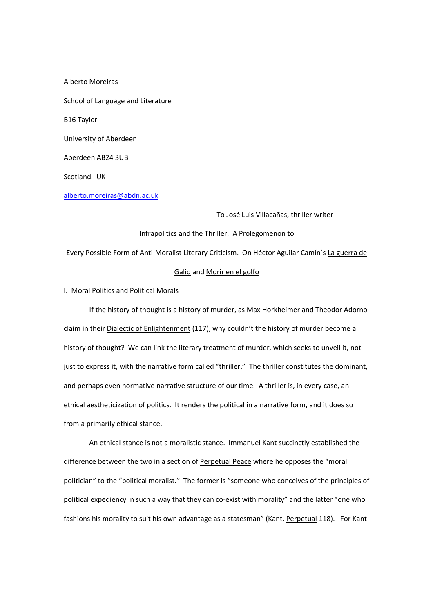Alberto Moreiras School of Language and Literature B16 Taylor University of Aberdeen Aberdeen AB24 3UB Scotland. UK alberto.moreiras@abdn.ac.uk

# To José Luis Villacañas, thriller writer

### Infrapolitics and the Thriller. A Prolegomenon to

Every Possible Form of Anti-Moralist Literary Criticism. On Héctor Aguilar Camín´s La guerra de

#### Galio and Morir en el golfo

I. Moral Politics and Political Morals

 If the history of thought is a history of murder, as Max Horkheimer and Theodor Adorno claim in their Dialectic of Enlightenment (117), why couldn't the history of murder become a history of thought? We can link the literary treatment of murder, which seeks to unveil it, not just to express it, with the narrative form called "thriller." The thriller constitutes the dominant, and perhaps even normative narrative structure of our time. A thriller is, in every case, an ethical aestheticization of politics. It renders the political in a narrative form, and it does so from a primarily ethical stance.

 An ethical stance is not a moralistic stance. Immanuel Kant succinctly established the difference between the two in a section of Perpetual Peace where he opposes the "moral politician" to the "political moralist." The former is "someone who conceives of the principles of political expediency in such a way that they can co-exist with morality" and the latter "one who fashions his morality to suit his own advantage as a statesman" (Kant, Perpetual 118). For Kant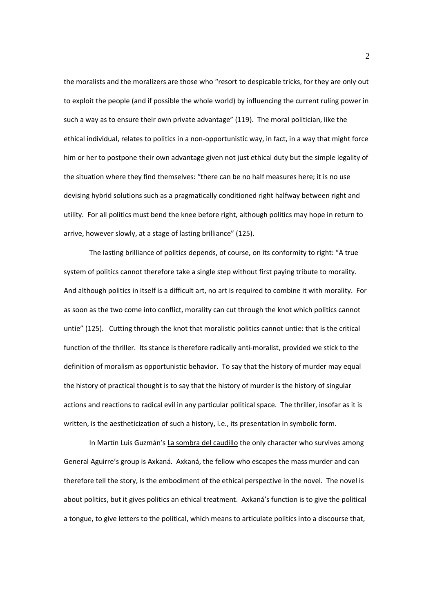the moralists and the moralizers are those who "resort to despicable tricks, for they are only out to exploit the people (and if possible the whole world) by influencing the current ruling power in such a way as to ensure their own private advantage" (119). The moral politician, like the ethical individual, relates to politics in a non-opportunistic way, in fact, in a way that might force him or her to postpone their own advantage given not just ethical duty but the simple legality of the situation where they find themselves: "there can be no half measures here; it is no use devising hybrid solutions such as a pragmatically conditioned right halfway between right and utility. For all politics must bend the knee before right, although politics may hope in return to arrive, however slowly, at a stage of lasting brilliance" (125).

 The lasting brilliance of politics depends, of course, on its conformity to right: "A true system of politics cannot therefore take a single step without first paying tribute to morality. And although politics in itself is a difficult art, no art is required to combine it with morality. For as soon as the two come into conflict, morality can cut through the knot which politics cannot untie" (125). Cutting through the knot that moralistic politics cannot untie: that is the critical function of the thriller. Its stance is therefore radically anti-moralist, provided we stick to the definition of moralism as opportunistic behavior. To say that the history of murder may equal the history of practical thought is to say that the history of murder is the history of singular actions and reactions to radical evil in any particular political space. The thriller, insofar as it is written, is the aestheticization of such a history, i.e., its presentation in symbolic form.

In Martín Luis Guzmán's La sombra del caudillo the only character who survives among General Aguirre's group is Axkaná. Axkaná, the fellow who escapes the mass murder and can therefore tell the story, is the embodiment of the ethical perspective in the novel. The novel is about politics, but it gives politics an ethical treatment. Axkaná's function is to give the political a tongue, to give letters to the political, which means to articulate politics into a discourse that,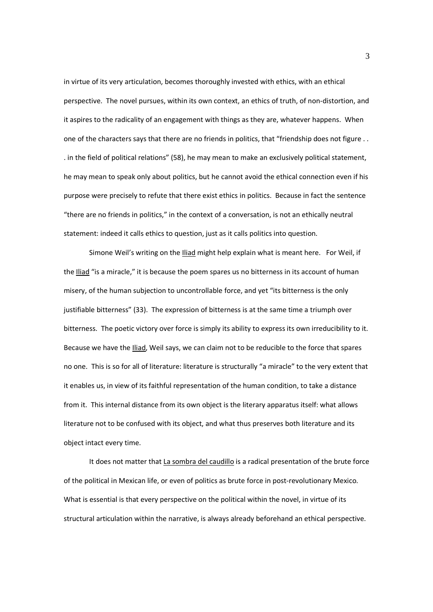in virtue of its very articulation, becomes thoroughly invested with ethics, with an ethical perspective. The novel pursues, within its own context, an ethics of truth, of non-distortion, and it aspires to the radicality of an engagement with things as they are, whatever happens. When one of the characters says that there are no friends in politics, that "friendship does not figure . . . in the field of political relations" (58), he may mean to make an exclusively political statement, he may mean to speak only about politics, but he cannot avoid the ethical connection even if his purpose were precisely to refute that there exist ethics in politics. Because in fact the sentence "there are no friends in politics," in the context of a conversation, is not an ethically neutral statement: indeed it calls ethics to question, just as it calls politics into question.

Simone Weil's writing on the Iliad might help explain what is meant here. For Weil, if the Iliad "is a miracle," it is because the poem spares us no bitterness in its account of human misery, of the human subjection to uncontrollable force, and yet "its bitterness is the only justifiable bitterness" (33). The expression of bitterness is at the same time a triumph over bitterness. The poetic victory over force is simply its ability to express its own irreducibility to it. Because we have the Iliad, Weil says, we can claim not to be reducible to the force that spares no one. This is so for all of literature: literature is structurally "a miracle" to the very extent that it enables us, in view of its faithful representation of the human condition, to take a distance from it. This internal distance from its own object is the literary apparatus itself: what allows literature not to be confused with its object, and what thus preserves both literature and its object intact every time.

 It does not matter that La sombra del caudillo is a radical presentation of the brute force of the political in Mexican life, or even of politics as brute force in post-revolutionary Mexico. What is essential is that every perspective on the political within the novel, in virtue of its structural articulation within the narrative, is always already beforehand an ethical perspective.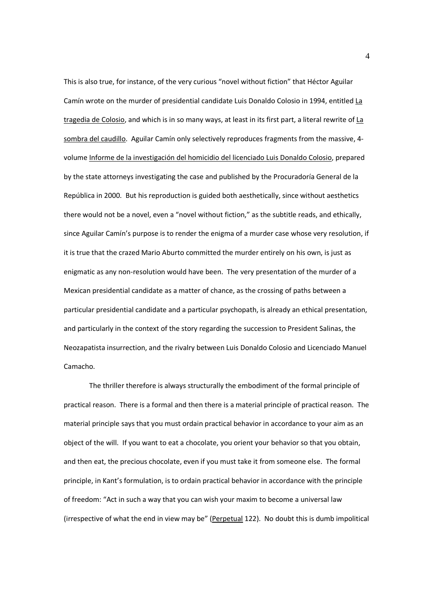This is also true, for instance, of the very curious "novel without fiction" that Héctor Aguilar Camín wrote on the murder of presidential candidate Luis Donaldo Colosio in 1994, entitled La tragedia de Colosio, and which is in so many ways, at least in its first part, a literal rewrite of La sombra del caudillo. Aguilar Camín only selectively reproduces fragments from the massive, 4volume Informe de la investigación del homicidio del licenciado Luis Donaldo Colosio, prepared by the state attorneys investigating the case and published by the Procuradoría General de la República in 2000. But his reproduction is guided both aesthetically, since without aesthetics there would not be a novel, even a "novel without fiction," as the subtitle reads, and ethically, since Aguilar Camín's purpose is to render the enigma of a murder case whose very resolution, if it is true that the crazed Mario Aburto committed the murder entirely on his own, is just as enigmatic as any non-resolution would have been. The very presentation of the murder of a Mexican presidential candidate as a matter of chance, as the crossing of paths between a particular presidential candidate and a particular psychopath, is already an ethical presentation, and particularly in the context of the story regarding the succession to President Salinas, the Neozapatista insurrection, and the rivalry between Luis Donaldo Colosio and Licenciado Manuel Camacho.

 The thriller therefore is always structurally the embodiment of the formal principle of practical reason. There is a formal and then there is a material principle of practical reason. The material principle says that you must ordain practical behavior in accordance to your aim as an object of the will. If you want to eat a chocolate, you orient your behavior so that you obtain, and then eat, the precious chocolate, even if you must take it from someone else. The formal principle, in Kant's formulation, is to ordain practical behavior in accordance with the principle of freedom: "Act in such a way that you can wish your maxim to become a universal law (irrespective of what the end in view may be" (Perpetual 122). No doubt this is dumb impolitical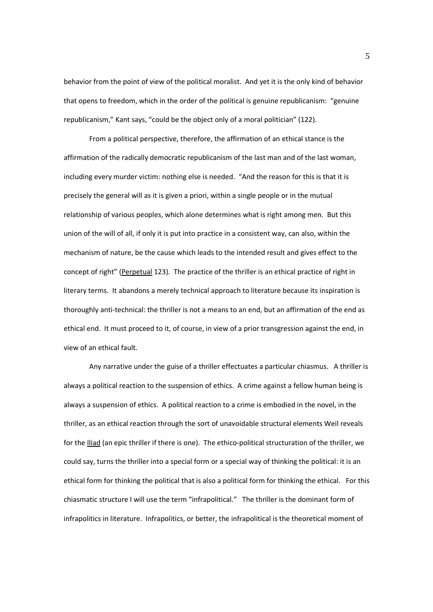behavior from the point of view of the political moralist. And yet it is the only kind of behavior that opens to freedom, which in the order of the political is genuine republicanism: "genuine republicanism," Kant says, "could be the object only of a moral politician" (122).

 From a political perspective, therefore, the affirmation of an ethical stance is the affirmation of the radically democratic republicanism of the last man and of the last woman, including every murder victim: nothing else is needed. "And the reason for this is that it is precisely the general will as it is given a priori, within a single people or in the mutual relationship of various peoples, which alone determines what is right among men. But this union of the will of all, if only it is put into practice in a consistent way, can also, within the mechanism of nature, be the cause which leads to the intended result and gives effect to the concept of right" (Perpetual 123). The practice of the thriller is an ethical practice of right in literary terms. It abandons a merely technical approach to literature because its inspiration is thoroughly anti-technical: the thriller is not a means to an end, but an affirmation of the end as ethical end. It must proceed to it, of course, in view of a prior transgression against the end, in view of an ethical fault.

 Any narrative under the guise of a thriller effectuates a particular chiasmus. A thriller is always a political reaction to the suspension of ethics. A crime against a fellow human being is always a suspension of ethics. A political reaction to a crime is embodied in the novel, in the thriller, as an ethical reaction through the sort of unavoidable structural elements Weil reveals for the Iliad (an epic thriller if there is one). The ethico-political structuration of the thriller, we could say, turns the thriller into a special form or a special way of thinking the political: it is an ethical form for thinking the political that is also a political form for thinking the ethical. For this chiasmatic structure I will use the term "infrapolitical." The thriller is the dominant form of infrapolitics in literature. Infrapolitics, or better, the infrapolitical is the theoretical moment of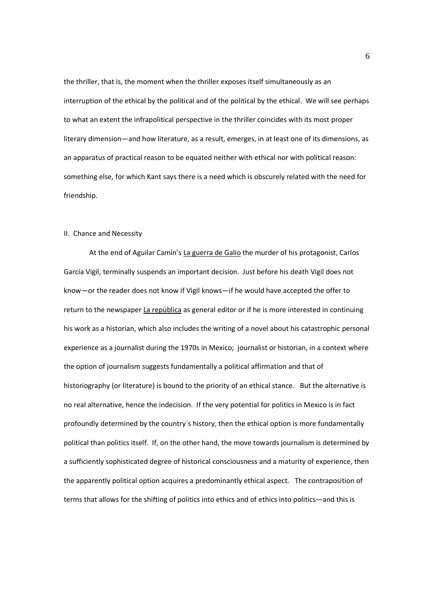the thriller, that is, the moment when the thriller exposes itself simultaneously as an interruption of the ethical by the political and of the political by the ethical. We will see perhaps to what an extent the infrapolitical perspective in the thriller coincides with its most proper literary dimension—and how literature, as a result, emerges, in at least one of its dimensions, as an apparatus of practical reason to be equated neither with ethical nor with political reason: something else, for which Kant says there is a need which is obscurely related with the need for friendship.

## II. Chance and Necessity

 At the end of Aguilar Camín's La guerra de Galio the murder of his protagonist, Carlos García Vigil, terminally suspends an important decision. Just before his death Vigil does not know—or the reader does not know if Vigil knows—if he would have accepted the offer to return to the newspaper La república as general editor or if he is more interested in continuing his work as a historian, which also includes the writing of a novel about his catastrophic personal experience as a journalist during the 1970s in Mexico; journalist or historian, in a context where the option of journalism suggests fundamentally a political affirmation and that of historiography (or literature) is bound to the priority of an ethical stance. But the alternative is no real alternative, hence the indecision. If the very potential for politics in Mexico is in fact profoundly determined by the country´s history, then the ethical option is more fundamentally political than politics itself. If, on the other hand, the move towards journalism is determined by a sufficiently sophisticated degree of historical consciousness and a maturity of experience, then the apparently political option acquires a predominantly ethical aspect. The contraposition of terms that allows for the shifting of politics into ethics and of ethics into politics—and this is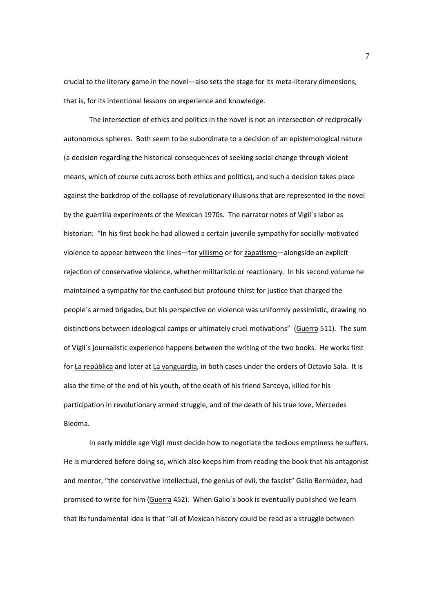crucial to the literary game in the novel—also sets the stage for its meta-literary dimensions, that is, for its intentional lessons on experience and knowledge.

 The intersection of ethics and politics in the novel is not an intersection of reciprocally autonomous spheres. Both seem to be subordinate to a decision of an epistemological nature (a decision regarding the historical consequences of seeking social change through violent means, which of course cuts across both ethics and politics), and such a decision takes place against the backdrop of the collapse of revolutionary illusions that are represented in the novel by the guerrilla experiments of the Mexican 1970s. The narrator notes of Vigil´s labor as historian: "In his first book he had allowed a certain juvenile sympathy for socially-motivated violence to appear between the lines—for villismo or for zapatismo—alongside an explicit rejection of conservative violence, whether militaristic or reactionary. In his second volume he maintained a sympathy for the confused but profound thirst for justice that charged the people´s armed brigades, but his perspective on violence was uniformly pessimistic, drawing no distinctions between ideological camps or ultimately cruel motivations" (Guerra 511). The sum of Vigil´s journalistic experience happens between the writing of the two books. He works first for La república and later at La vanguardia, in both cases under the orders of Octavio Sala. It is also the time of the end of his youth, of the death of his friend Santoyo, killed for his participation in revolutionary armed struggle, and of the death of his true love, Mercedes Biedma.

 In early middle age Vigil must decide how to negotiate the tedious emptiness he suffers. He is murdered before doing so, which also keeps him from reading the book that his antagonist and mentor, "the conservative intellectual, the genius of evil, the fascist" Galio Bermúdez, had promised to write for him (Guerra 452). When Galio´s book is eventually published we learn that its fundamental idea is that "all of Mexican history could be read as a struggle between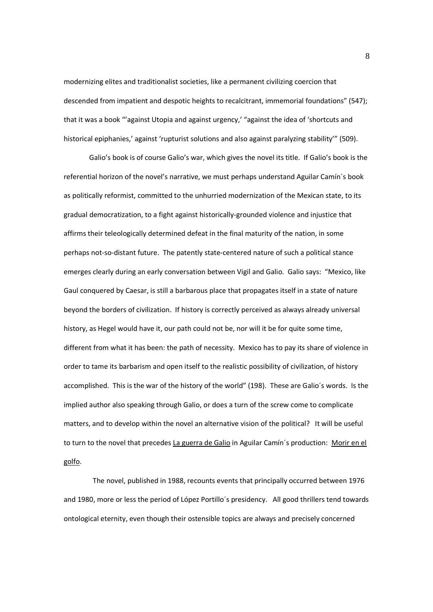modernizing elites and traditionalist societies, like a permanent civilizing coercion that descended from impatient and despotic heights to recalcitrant, immemorial foundations" (547); that it was a book "'against Utopia and against urgency,' "against the idea of 'shortcuts and historical epiphanies,' against 'rupturist solutions and also against paralyzing stability'" (509).

 Galio's book is of course Galio's war, which gives the novel its title. If Galio's book is the referential horizon of the novel's narrative, we must perhaps understand Aguilar Camín´s book as politically reformist, committed to the unhurried modernization of the Mexican state, to its gradual democratization, to a fight against historically-grounded violence and injustice that affirms their teleologically determined defeat in the final maturity of the nation, in some perhaps not-so-distant future. The patently state-centered nature of such a political stance emerges clearly during an early conversation between Vigil and Galio. Galio says: "Mexico, like Gaul conquered by Caesar, is still a barbarous place that propagates itself in a state of nature beyond the borders of civilization. If history is correctly perceived as always already universal history, as Hegel would have it, our path could not be, nor will it be for quite some time, different from what it has been: the path of necessity. Mexico has to pay its share of violence in order to tame its barbarism and open itself to the realistic possibility of civilization, of history accomplished. This is the war of the history of the world" (198). These are Galio´s words. Is the implied author also speaking through Galio, or does a turn of the screw come to complicate matters, and to develop within the novel an alternative vision of the political? It will be useful to turn to the novel that precedes La guerra de Galio in Aguilar Camín´s production: Morir en el golfo.

 The novel, published in 1988, recounts events that principally occurred between 1976 and 1980, more or less the period of López Portillo´s presidency. All good thrillers tend towards ontological eternity, even though their ostensible topics are always and precisely concerned

8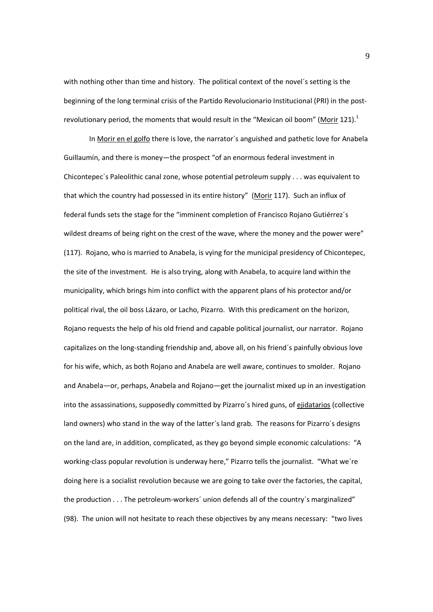with nothing other than time and history. The political context of the novel´s setting is the beginning of the long terminal crisis of the Partido Revolucionario Institucional (PRI) in the postrevolutionary period, the moments that would result in the "Mexican oil boom" (Morir 121).<sup>1</sup>

In Morir en el golfo there is love, the narrator's anguished and pathetic love for Anabela Guillaumín, and there is money—the prospect "of an enormous federal investment in Chicontepec´s Paleolithic canal zone, whose potential petroleum supply . . . was equivalent to that which the country had possessed in its entire history" (Morir 117). Such an influx of federal funds sets the stage for the "imminent completion of Francisco Rojano Gutiérrez´s wildest dreams of being right on the crest of the wave, where the money and the power were" (117). Rojano, who is married to Anabela, is vying for the municipal presidency of Chicontepec, the site of the investment. He is also trying, along with Anabela, to acquire land within the municipality, which brings him into conflict with the apparent plans of his protector and/or political rival, the oil boss Lázaro, or Lacho, Pizarro. With this predicament on the horizon, Rojano requests the help of his old friend and capable political journalist, our narrator. Rojano capitalizes on the long-standing friendship and, above all, on his friend´s painfully obvious love for his wife, which, as both Rojano and Anabela are well aware, continues to smolder. Rojano and Anabela—or, perhaps, Anabela and Rojano—get the journalist mixed up in an investigation into the assassinations, supposedly committed by Pizarro´s hired guns, of ejidatarios (collective land owners) who stand in the way of the latter's land grab. The reasons for Pizarro's designs on the land are, in addition, complicated, as they go beyond simple economic calculations: "A working-class popular revolution is underway here," Pizarro tells the journalist. "What we´re doing here is a socialist revolution because we are going to take over the factories, the capital, the production . . . The petroleum-workers´ union defends all of the country´s marginalized" (98). The union will not hesitate to reach these objectives by any means necessary: "two lives

9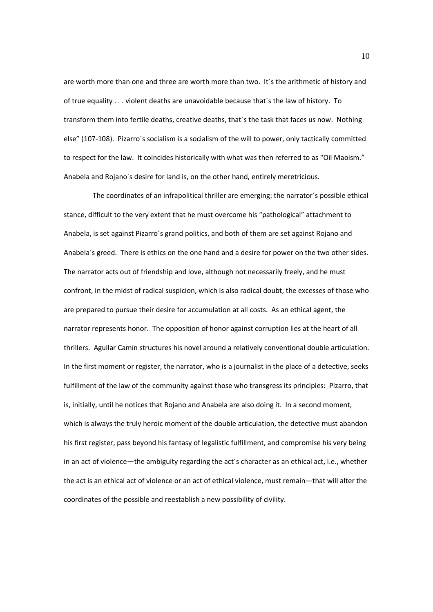are worth more than one and three are worth more than two. It's the arithmetic of history and of true equality . . . violent deaths are unavoidable because that´s the law of history. To transform them into fertile deaths, creative deaths, that´s the task that faces us now. Nothing else" (107-108). Pizarro´s socialism is a socialism of the will to power, only tactically committed to respect for the law. It coincides historically with what was then referred to as "Oil Maoism." Anabela and Rojano´s desire for land is, on the other hand, entirely meretricious.

 The coordinates of an infrapolitical thriller are emerging: the narrator´s possible ethical stance, difficult to the very extent that he must overcome his "pathological" attachment to Anabela, is set against Pizarro´s grand politics, and both of them are set against Rojano and Anabela´s greed. There is ethics on the one hand and a desire for power on the two other sides. The narrator acts out of friendship and love, although not necessarily freely, and he must confront, in the midst of radical suspicion, which is also radical doubt, the excesses of those who are prepared to pursue their desire for accumulation at all costs. As an ethical agent, the narrator represents honor. The opposition of honor against corruption lies at the heart of all thrillers. Aguilar Camín structures his novel around a relatively conventional double articulation. In the first moment or register, the narrator, who is a journalist in the place of a detective, seeks fulfillment of the law of the community against those who transgress its principles: Pizarro, that is, initially, until he notices that Rojano and Anabela are also doing it. In a second moment, which is always the truly heroic moment of the double articulation, the detective must abandon his first register, pass beyond his fantasy of legalistic fulfillment, and compromise his very being in an act of violence—the ambiguity regarding the act´s character as an ethical act, i.e., whether the act is an ethical act of violence or an act of ethical violence, must remain—that will alter the coordinates of the possible and reestablish a new possibility of civility.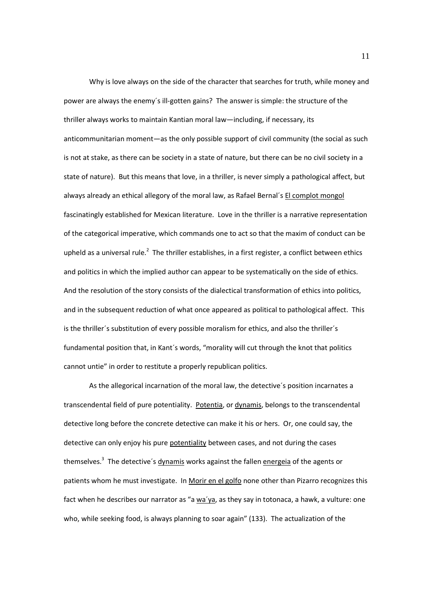Why is love always on the side of the character that searches for truth, while money and power are always the enemy´s ill-gotten gains? The answer is simple: the structure of the thriller always works to maintain Kantian moral law—including, if necessary, its anticommunitarian moment—as the only possible support of civil community (the social as such is not at stake, as there can be society in a state of nature, but there can be no civil society in a state of nature). But this means that love, in a thriller, is never simply a pathological affect, but always already an ethical allegory of the moral law, as Rafael Bernal´s El complot mongol fascinatingly established for Mexican literature. Love in the thriller is a narrative representation of the categorical imperative, which commands one to act so that the maxim of conduct can be upheld as a universal rule.<sup>2</sup> The thriller establishes, in a first register, a conflict between ethics and politics in which the implied author can appear to be systematically on the side of ethics. And the resolution of the story consists of the dialectical transformation of ethics into politics, and in the subsequent reduction of what once appeared as political to pathological affect. This is the thriller's substitution of every possible moralism for ethics, and also the thriller's fundamental position that, in Kant´s words, "morality will cut through the knot that politics cannot untie" in order to restitute a properly republican politics.

 As the allegorical incarnation of the moral law, the detective´s position incarnates a transcendental field of pure potentiality. Potentia, or dynamis, belongs to the transcendental detective long before the concrete detective can make it his or hers. Or, one could say, the detective can only enjoy his pure potentiality between cases, and not during the cases themselves.<sup>3</sup> The detective's <u>dynamis</u> works against the fallen <u>energeia</u> of the agents or patients whom he must investigate. In Morir en el golfo none other than Pizarro recognizes this fact when he describes our narrator as "a  $w$ a'ya, as they say in totonaca, a hawk, a vulture: one who, while seeking food, is always planning to soar again" (133). The actualization of the

11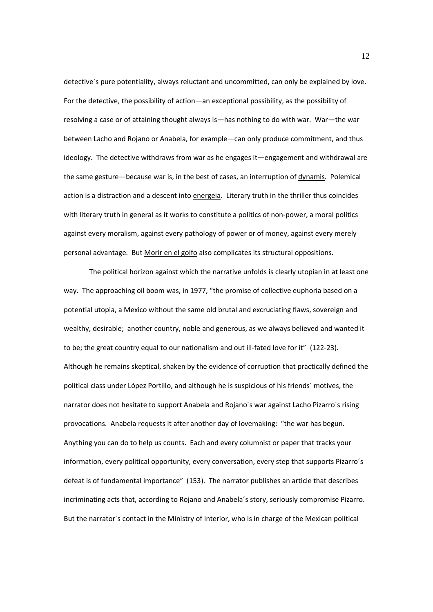detective´s pure potentiality, always reluctant and uncommitted, can only be explained by love. For the detective, the possibility of action—an exceptional possibility, as the possibility of resolving a case or of attaining thought always is—has nothing to do with war. War—the war between Lacho and Rojano or Anabela, for example—can only produce commitment, and thus ideology. The detective withdraws from war as he engages it—engagement and withdrawal are the same gesture—because war is, in the best of cases, an interruption of dynamis. Polemical action is a distraction and a descent into energeia. Literary truth in the thriller thus coincides with literary truth in general as it works to constitute a politics of non-power, a moral politics against every moralism, against every pathology of power or of money, against every merely personal advantage. But Morir en el golfo also complicates its structural oppositions.

 The political horizon against which the narrative unfolds is clearly utopian in at least one way. The approaching oil boom was, in 1977, "the promise of collective euphoria based on a potential utopia, a Mexico without the same old brutal and excruciating flaws, sovereign and wealthy, desirable; another country, noble and generous, as we always believed and wanted it to be; the great country equal to our nationalism and out ill-fated love for it" (122-23). Although he remains skeptical, shaken by the evidence of corruption that practically defined the political class under López Portillo, and although he is suspicious of his friends´ motives, the narrator does not hesitate to support Anabela and Rojano´s war against Lacho Pizarro´s rising provocations. Anabela requests it after another day of lovemaking: "the war has begun. Anything you can do to help us counts. Each and every columnist or paper that tracks your information, every political opportunity, every conversation, every step that supports Pizarro´s defeat is of fundamental importance" (153). The narrator publishes an article that describes incriminating acts that, according to Rojano and Anabela´s story, seriously compromise Pizarro. But the narrator´s contact in the Ministry of Interior, who is in charge of the Mexican political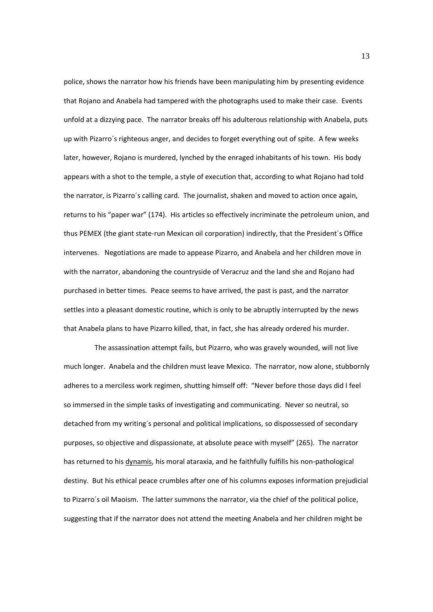police, shows the narrator how his friends have been manipulating him by presenting evidence that Rojano and Anabela had tampered with the photographs used to make their case. Events unfold at a dizzying pace. The narrator breaks off his adulterous relationship with Anabela, puts up with Pizarro´s righteous anger, and decides to forget everything out of spite. A few weeks later, however, Rojano is murdered, lynched by the enraged inhabitants of his town. His body appears with a shot to the temple, a style of execution that, according to what Rojano had told the narrator, is Pizarro´s calling card. The journalist, shaken and moved to action once again, returns to his "paper war" (174). His articles so effectively incriminate the petroleum union, and thus PEMEX (the giant state-run Mexican oil corporation) indirectly, that the President´s Office intervenes. Negotiations are made to appease Pizarro, and Anabela and her children move in with the narrator, abandoning the countryside of Veracruz and the land she and Rojano had purchased in better times. Peace seems to have arrived, the past is past, and the narrator settles into a pleasant domestic routine, which is only to be abruptly interrupted by the news that Anabela plans to have Pizarro killed, that, in fact, she has already ordered his murder.

 The assassination attempt fails, but Pizarro, who was gravely wounded, will not live much longer. Anabela and the children must leave Mexico. The narrator, now alone, stubbornly adheres to a merciless work regimen, shutting himself off: "Never before those days did I feel so immersed in the simple tasks of investigating and communicating. Never so neutral, so detached from my writing´s personal and political implications, so dispossessed of secondary purposes, so objective and dispassionate, at absolute peace with myself" (265). The narrator has returned to his dynamis, his moral ataraxia, and he faithfully fulfills his non-pathological destiny. But his ethical peace crumbles after one of his columns exposes information prejudicial to Pizarro´s oil Maoism. The latter summons the narrator, via the chief of the political police, suggesting that if the narrator does not attend the meeting Anabela and her children might be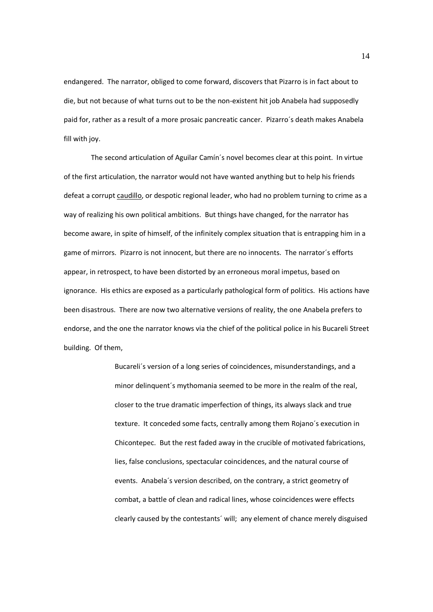endangered. The narrator, obliged to come forward, discovers that Pizarro is in fact about to die, but not because of what turns out to be the non-existent hit job Anabela had supposedly paid for, rather as a result of a more prosaic pancreatic cancer. Pizarro´s death makes Anabela fill with joy.

 The second articulation of Aguilar Camín´s novel becomes clear at this point. In virtue of the first articulation, the narrator would not have wanted anything but to help his friends defeat a corrupt caudillo, or despotic regional leader, who had no problem turning to crime as a way of realizing his own political ambitions. But things have changed, for the narrator has become aware, in spite of himself, of the infinitely complex situation that is entrapping him in a game of mirrors. Pizarro is not innocent, but there are no innocents. The narrator´s efforts appear, in retrospect, to have been distorted by an erroneous moral impetus, based on ignorance. His ethics are exposed as a particularly pathological form of politics. His actions have been disastrous. There are now two alternative versions of reality, the one Anabela prefers to endorse, and the one the narrator knows via the chief of the political police in his Bucareli Street building. Of them,

> Bucareli´s version of a long series of coincidences, misunderstandings, and a minor delinquent´s mythomania seemed to be more in the realm of the real, closer to the true dramatic imperfection of things, its always slack and true texture. It conceded some facts, centrally among them Rojano´s execution in Chicontepec. But the rest faded away in the crucible of motivated fabrications, lies, false conclusions, spectacular coincidences, and the natural course of events. Anabela´s version described, on the contrary, a strict geometry of combat, a battle of clean and radical lines, whose coincidences were effects clearly caused by the contestants´ will; any element of chance merely disguised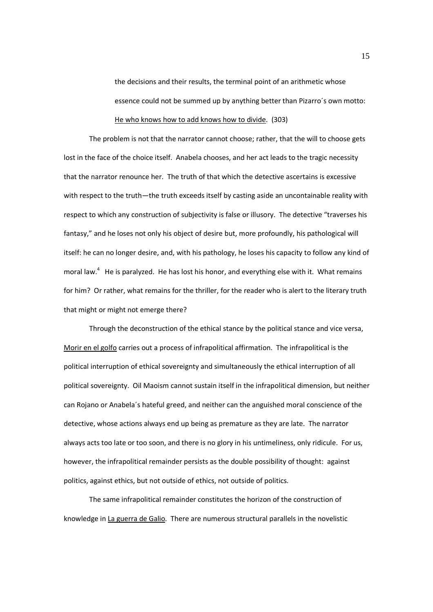the decisions and their results, the terminal point of an arithmetic whose essence could not be summed up by anything better than Pizarro´s own motto: He who knows how to add knows how to divide. (303)

 The problem is not that the narrator cannot choose; rather, that the will to choose gets lost in the face of the choice itself. Anabela chooses, and her act leads to the tragic necessity that the narrator renounce her. The truth of that which the detective ascertains is excessive with respect to the truth—the truth exceeds itself by casting aside an uncontainable reality with respect to which any construction of subjectivity is false or illusory. The detective "traverses his fantasy," and he loses not only his object of desire but, more profoundly, his pathological will itself: he can no longer desire, and, with his pathology, he loses his capacity to follow any kind of moral law.<sup>4</sup> He is paralyzed. He has lost his honor, and everything else with it. What remains for him? Or rather, what remains for the thriller, for the reader who is alert to the literary truth that might or might not emerge there?

 Through the deconstruction of the ethical stance by the political stance and vice versa, Morir en el golfo carries out a process of infrapolitical affirmation. The infrapolitical is the political interruption of ethical sovereignty and simultaneously the ethical interruption of all political sovereignty. Oil Maoism cannot sustain itself in the infrapolitical dimension, but neither can Rojano or Anabela´s hateful greed, and neither can the anguished moral conscience of the detective, whose actions always end up being as premature as they are late. The narrator always acts too late or too soon, and there is no glory in his untimeliness, only ridicule. For us, however, the infrapolitical remainder persists as the double possibility of thought: against politics, against ethics, but not outside of ethics, not outside of politics.

 The same infrapolitical remainder constitutes the horizon of the construction of knowledge in La guerra de Galio. There are numerous structural parallels in the novelistic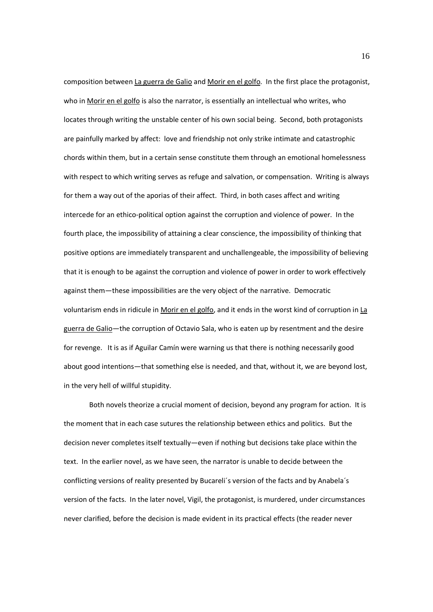composition between La guerra de Galio and Morir en el golfo. In the first place the protagonist, who in Morir en el golfo is also the narrator, is essentially an intellectual who writes, who locates through writing the unstable center of his own social being. Second, both protagonists are painfully marked by affect: love and friendship not only strike intimate and catastrophic chords within them, but in a certain sense constitute them through an emotional homelessness with respect to which writing serves as refuge and salvation, or compensation. Writing is always for them a way out of the aporias of their affect. Third, in both cases affect and writing intercede for an ethico-political option against the corruption and violence of power. In the fourth place, the impossibility of attaining a clear conscience, the impossibility of thinking that positive options are immediately transparent and unchallengeable, the impossibility of believing that it is enough to be against the corruption and violence of power in order to work effectively against them—these impossibilities are the very object of the narrative. Democratic voluntarism ends in ridicule in Morir en el golfo, and it ends in the worst kind of corruption in La guerra de Galio—the corruption of Octavio Sala, who is eaten up by resentment and the desire for revenge. It is as if Aguilar Camín were warning us that there is nothing necessarily good about good intentions—that something else is needed, and that, without it, we are beyond lost, in the very hell of willful stupidity.

 Both novels theorize a crucial moment of decision, beyond any program for action. It is the moment that in each case sutures the relationship between ethics and politics. But the decision never completes itself textually—even if nothing but decisions take place within the text. In the earlier novel, as we have seen, the narrator is unable to decide between the conflicting versions of reality presented by Bucareli´s version of the facts and by Anabela´s version of the facts. In the later novel, Vigil, the protagonist, is murdered, under circumstances never clarified, before the decision is made evident in its practical effects (the reader never

16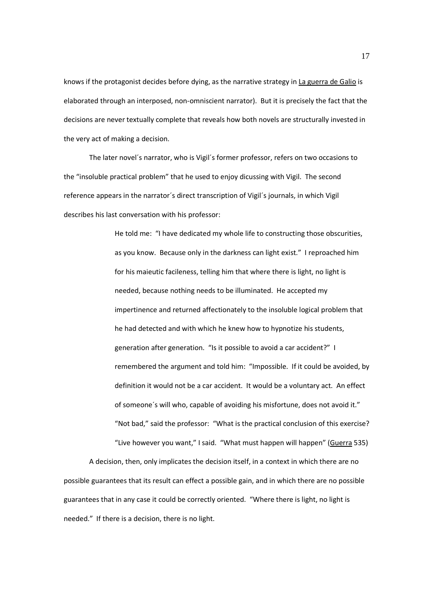knows if the protagonist decides before dying, as the narrative strategy in La guerra de Galio is elaborated through an interposed, non-omniscient narrator). But it is precisely the fact that the decisions are never textually complete that reveals how both novels are structurally invested in the very act of making a decision.

 The later novel´s narrator, who is Vigil´s former professor, refers on two occasions to the "insoluble practical problem" that he used to enjoy dicussing with Vigil. The second reference appears in the narrator´s direct transcription of Vigil´s journals, in which Vigil describes his last conversation with his professor:

> He told me: "I have dedicated my whole life to constructing those obscurities, as you know. Because only in the darkness can light exist." I reproached him for his maieutic facileness, telling him that where there is light, no light is needed, because nothing needs to be illuminated. He accepted my impertinence and returned affectionately to the insoluble logical problem that he had detected and with which he knew how to hypnotize his students, generation after generation. "Is it possible to avoid a car accident?" I remembered the argument and told him: "Impossible. If it could be avoided, by definition it would not be a car accident. It would be a voluntary act. An effect of someone´s will who, capable of avoiding his misfortune, does not avoid it." "Not bad," said the professor: "What is the practical conclusion of this exercise? "Live however you want," I said. "What must happen will happen" (Guerra 535)

 A decision, then, only implicates the decision itself, in a context in which there are no possible guarantees that its result can effect a possible gain, and in which there are no possible guarantees that in any case it could be correctly oriented. "Where there is light, no light is needed." If there is a decision, there is no light.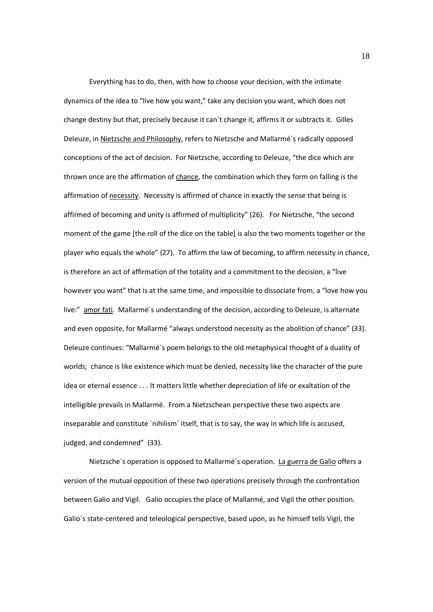Everything has to do, then, with how to choose your decision, with the intimate dynamics of the idea to "live how you want," take any decision you want, which does not change destiny but that, precisely because it can´t change it, affirms it or subtracts it. Gilles Deleuze, in Nietzsche and Philosophy, refers to Nietzsche and Mallarmé´s radically opposed conceptions of the act of decision. For Nietzsche, according to Deleuze, "the dice which are thrown once are the affirmation of chance, the combination which they form on falling is the affirmation of necessity. Necessity is affirmed of chance in exactly the sense that being is affirmed of becoming and unity is affirmed of multiplicity" (26). For Nietzsche, "the second moment of the game [the roll of the dice on the table] is also the two moments together or the player who equals the whole" (27). To affirm the law of becoming, to affirm necessity in chance, is therefore an act of affirmation of the totality and a commitment to the decision, a "live however you want" that is at the same time, and impossible to dissociate from, a "love how you live:" amor fati. Mallarmé´s understanding of the decision, according to Deleuze, is alternate and even opposite, for Mallarmé "always understood necessity as the abolition of chance" (33). Deleuze continues: "Mallarmé´s poem belongs to the old metaphysical thought of a duality of worlds; chance is like existence which must be denied, necessity like the character of the pure idea or eternal essence . . . It matters little whether depreciation of life or exaltation of the intelligible prevails in Mallarmé. From a Nietzschean perspective these two aspects are inseparable and constitute ´nihilism´ itself, that is to say, the way in which life is accused, judged, and condemned" (33).

 Nietzsche´s operation is opposed to Mallarmé´s operation. La guerra de Galio offers a version of the mutual opposition of these two operations precisely through the confrontation between Galio and Vigil. Galio occupies the place of Mallarmé, and Vigil the other position. Galio´s state-centered and teleological perspective, based upon, as he himself tells Vigil, the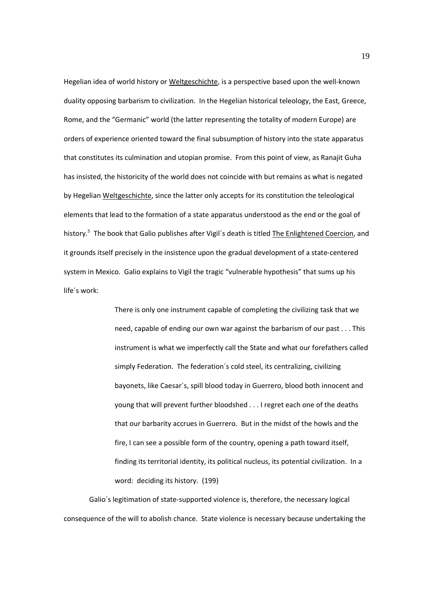Hegelian idea of world history or Weltgeschichte, is a perspective based upon the well-known duality opposing barbarism to civilization. In the Hegelian historical teleology, the East, Greece, Rome, and the "Germanic" world (the latter representing the totality of modern Europe) are orders of experience oriented toward the final subsumption of history into the state apparatus that constitutes its culmination and utopian promise. From this point of view, as Ranajit Guha has insisted, the historicity of the world does not coincide with but remains as what is negated by Hegelian Weltgeschichte, since the latter only accepts for its constitution the teleological elements that lead to the formation of a state apparatus understood as the end or the goal of history.<sup>5</sup> The book that Galio publishes after Vigil's death is titled The Enlightened Coercion, and it grounds itself precisely in the insistence upon the gradual development of a state-centered system in Mexico. Galio explains to Vigil the tragic "vulnerable hypothesis" that sums up his life´s work:

> There is only one instrument capable of completing the civilizing task that we need, capable of ending our own war against the barbarism of our past . . . This instrument is what we imperfectly call the State and what our forefathers called simply Federation. The federation´s cold steel, its centralizing, civilizing bayonets, like Caesar´s, spill blood today in Guerrero, blood both innocent and young that will prevent further bloodshed . . . I regret each one of the deaths that our barbarity accrues in Guerrero. But in the midst of the howls and the fire, I can see a possible form of the country, opening a path toward itself, finding its territorial identity, its political nucleus, its potential civilization. In a word: deciding its history. (199)

 Galio´s legitimation of state-supported violence is, therefore, the necessary logical consequence of the will to abolish chance. State violence is necessary because undertaking the

19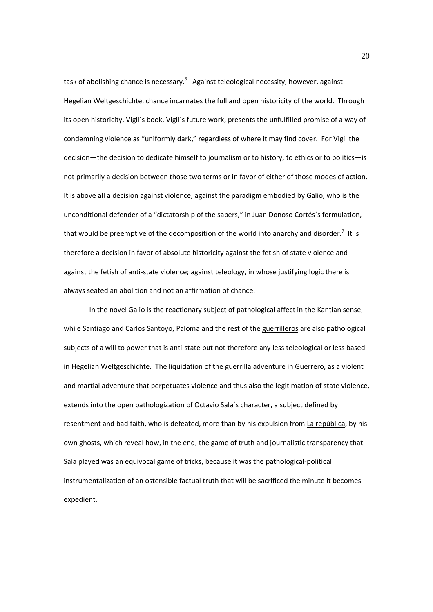task of abolishing chance is necessary.<sup>6</sup> Against teleological necessity, however, against Hegelian Weltgeschichte, chance incarnates the full and open historicity of the world. Through its open historicity, Vigil´s book, Vigil´s future work, presents the unfulfilled promise of a way of condemning violence as "uniformly dark," regardless of where it may find cover. For Vigil the decision—the decision to dedicate himself to journalism or to history, to ethics or to politics—is not primarily a decision between those two terms or in favor of either of those modes of action. It is above all a decision against violence, against the paradigm embodied by Galio, who is the unconditional defender of a "dictatorship of the sabers," in Juan Donoso Cortés´s formulation, that would be preemptive of the decomposition of the world into anarchy and disorder.<sup>7</sup> It is therefore a decision in favor of absolute historicity against the fetish of state violence and against the fetish of anti-state violence; against teleology, in whose justifying logic there is always seated an abolition and not an affirmation of chance.

 In the novel Galio is the reactionary subject of pathological affect in the Kantian sense, while Santiago and Carlos Santoyo, Paloma and the rest of the guerrilleros are also pathological subjects of a will to power that is anti-state but not therefore any less teleological or less based in Hegelian Weltgeschichte. The liquidation of the guerrilla adventure in Guerrero, as a violent and martial adventure that perpetuates violence and thus also the legitimation of state violence, extends into the open pathologization of Octavio Sala´s character, a subject defined by resentment and bad faith, who is defeated, more than by his expulsion from La república, by his own ghosts, which reveal how, in the end, the game of truth and journalistic transparency that Sala played was an equivocal game of tricks, because it was the pathological-political instrumentalization of an ostensible factual truth that will be sacrificed the minute it becomes expedient.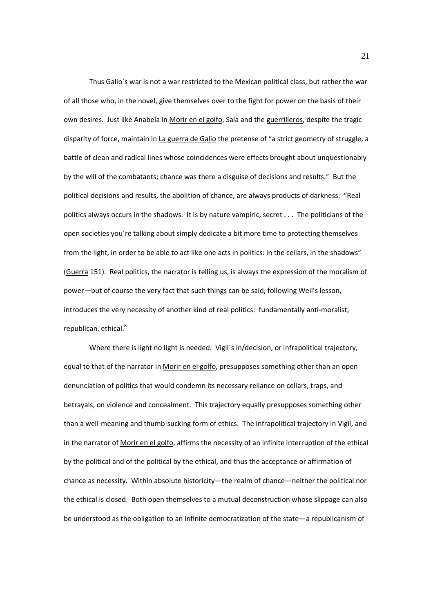Thus Galio´s war is not a war restricted to the Mexican political class, but rather the war of all those who, in the novel, give themselves over to the fight for power on the basis of their own desires. Just like Anabela in Morir en el golfo, Sala and the guerrilleros, despite the tragic disparity of force, maintain in La guerra de Galio the pretense of "a strict geometry of struggle, a battle of clean and radical lines whose coincidences were effects brought about unquestionably by the will of the combatants; chance was there a disguise of decisions and results." But the political decisions and results, the abolition of chance, are always products of darkness: "Real politics always occurs in the shadows. It is by nature vampiric, secret . . . The politicians of the open societies you´re talking about simply dedicate a bit more time to protecting themselves from the light, in order to be able to act like one acts in politics: in the cellars, in the shadows" (Guerra 151). Real politics, the narrator is telling us, is always the expression of the moralism of power—but of course the very fact that such things can be said, following Weil's lesson, introduces the very necessity of another kind of real politics: fundamentally anti-moralist, republican, ethical.<sup>8</sup>

 Where there is light no light is needed. Vigil´s in/decision, or infrapolitical trajectory, equal to that of the narrator in Morir en el golfo, presupposes something other than an open denunciation of politics that would condemn its necessary reliance on cellars, traps, and betrayals, on violence and concealment. This trajectory equally presupposes something other than a well-meaning and thumb-sucking form of ethics. The infrapolitical trajectory in Vigil, and in the narrator of Morir en el golfo, affirms the necessity of an infinite interruption of the ethical by the political and of the political by the ethical, and thus the acceptance or affirmation of chance as necessity. Within absolute historicity—the realm of chance—neither the political nor the ethical is closed. Both open themselves to a mutual deconstruction whose slippage can also be understood as the obligation to an infinite democratization of the state—a republicanism of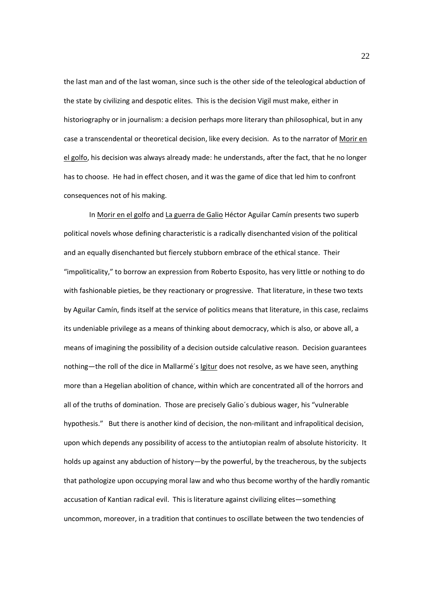the last man and of the last woman, since such is the other side of the teleological abduction of the state by civilizing and despotic elites. This is the decision Vigil must make, either in historiography or in journalism: a decision perhaps more literary than philosophical, but in any case a transcendental or theoretical decision, like every decision. As to the narrator of Morir en el golfo, his decision was always already made: he understands, after the fact, that he no longer has to choose. He had in effect chosen, and it was the game of dice that led him to confront consequences not of his making.

 In Morir en el golfo and La guerra de Galio Héctor Aguilar Camín presents two superb political novels whose defining characteristic is a radically disenchanted vision of the political and an equally disenchanted but fiercely stubborn embrace of the ethical stance. Their "impoliticality," to borrow an expression from Roberto Esposito, has very little or nothing to do with fashionable pieties, be they reactionary or progressive. That literature, in these two texts by Aguilar Camín, finds itself at the service of politics means that literature, in this case, reclaims its undeniable privilege as a means of thinking about democracy, which is also, or above all, a means of imagining the possibility of a decision outside calculative reason. Decision guarantees nothing—the roll of the dice in Mallarmé´s Igitur does not resolve, as we have seen, anything more than a Hegelian abolition of chance, within which are concentrated all of the horrors and all of the truths of domination. Those are precisely Galio´s dubious wager, his "vulnerable hypothesis." But there is another kind of decision, the non-militant and infrapolitical decision, upon which depends any possibility of access to the antiutopian realm of absolute historicity. It holds up against any abduction of history—by the powerful, by the treacherous, by the subjects that pathologize upon occupying moral law and who thus become worthy of the hardly romantic accusation of Kantian radical evil. This is literature against civilizing elites—something uncommon, moreover, in a tradition that continues to oscillate between the two tendencies of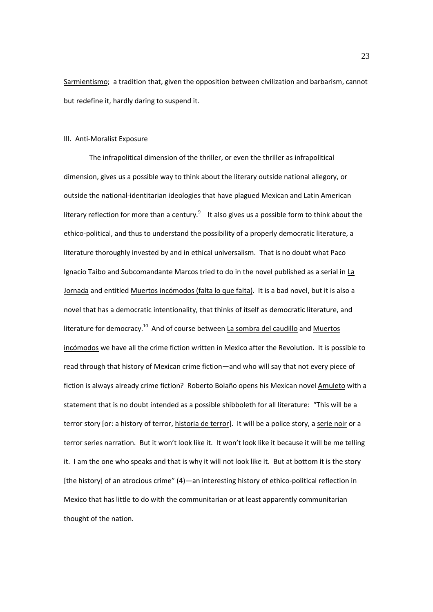Sarmientismo; a tradition that, given the opposition between civilization and barbarism, cannot but redefine it, hardly daring to suspend it.

### III. Anti-Moralist Exposure

The infrapolitical dimension of the thriller, or even the thriller as infrapolitical dimension, gives us a possible way to think about the literary outside national allegory, or outside the national-identitarian ideologies that have plagued Mexican and Latin American literary reflection for more than a century.<sup>9</sup> It also gives us a possible form to think about the ethico-political, and thus to understand the possibility of a properly democratic literature, a literature thoroughly invested by and in ethical universalism. That is no doubt what Paco Ignacio Taibo and Subcomandante Marcos tried to do in the novel published as a serial in La Jornada and entitled Muertos incómodos (falta lo que falta). It is a bad novel, but it is also a novel that has a democratic intentionality, that thinks of itself as democratic literature, and literature for democracy.<sup>10</sup> And of course between La sombra del caudillo and Muertos incómodos we have all the crime fiction written in Mexico after the Revolution. It is possible to read through that history of Mexican crime fiction—and who will say that not every piece of fiction is always already crime fiction? Roberto Bolaño opens his Mexican novel Amuleto with a statement that is no doubt intended as a possible shibboleth for all literature: "This will be a terror story [or: a history of terror, historia de terror]. It will be a police story, a serie noir or a terror series narration. But it won't look like it. It won't look like it because it will be me telling it. I am the one who speaks and that is why it will not look like it. But at bottom it is the story [the history] of an atrocious crime" (4)—an interesting history of ethico-political reflection in Mexico that has little to do with the communitarian or at least apparently communitarian thought of the nation.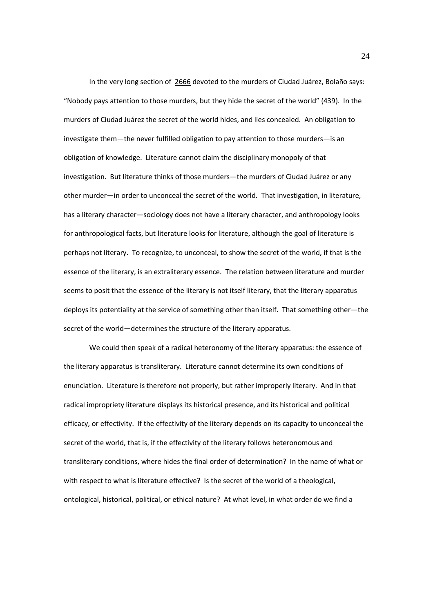In the very long section of 2666 devoted to the murders of Ciudad Juárez, Bolaño says: "Nobody pays attention to those murders, but they hide the secret of the world" (439). In the murders of Ciudad Juárez the secret of the world hides, and lies concealed. An obligation to investigate them—the never fulfilled obligation to pay attention to those murders—is an obligation of knowledge. Literature cannot claim the disciplinary monopoly of that investigation. But literature thinks of those murders—the murders of Ciudad Juárez or any other murder—in order to unconceal the secret of the world. That investigation, in literature, has a literary character—sociology does not have a literary character, and anthropology looks for anthropological facts, but literature looks for literature, although the goal of literature is perhaps not literary. To recognize, to unconceal, to show the secret of the world, if that is the essence of the literary, is an extraliterary essence. The relation between literature and murder seems to posit that the essence of the literary is not itself literary, that the literary apparatus deploys its potentiality at the service of something other than itself. That something other—the secret of the world—determines the structure of the literary apparatus.

 We could then speak of a radical heteronomy of the literary apparatus: the essence of the literary apparatus is transliterary. Literature cannot determine its own conditions of enunciation. Literature is therefore not properly, but rather improperly literary. And in that radical impropriety literature displays its historical presence, and its historical and political efficacy, or effectivity. If the effectivity of the literary depends on its capacity to unconceal the secret of the world, that is, if the effectivity of the literary follows heteronomous and transliterary conditions, where hides the final order of determination? In the name of what or with respect to what is literature effective? Is the secret of the world of a theological, ontological, historical, political, or ethical nature? At what level, in what order do we find a

24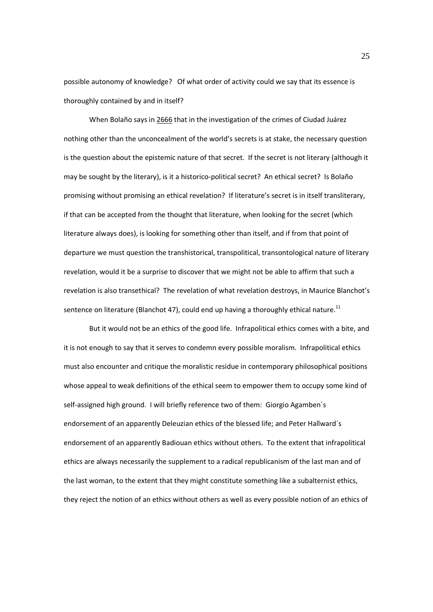possible autonomy of knowledge? Of what order of activity could we say that its essence is thoroughly contained by and in itself?

 When Bolaño says in 2666 that in the investigation of the crimes of Ciudad Juárez nothing other than the unconcealment of the world's secrets is at stake, the necessary question is the question about the epistemic nature of that secret. If the secret is not literary (although it may be sought by the literary), is it a historico-political secret? An ethical secret? Is Bolaño promising without promising an ethical revelation? If literature's secret is in itself transliterary, if that can be accepted from the thought that literature, when looking for the secret (which literature always does), is looking for something other than itself, and if from that point of departure we must question the transhistorical, transpolitical, transontological nature of literary revelation, would it be a surprise to discover that we might not be able to affirm that such a revelation is also transethical? The revelation of what revelation destroys, in Maurice Blanchot's sentence on literature (Blanchot 47), could end up having a thoroughly ethical nature.<sup>11</sup>

 But it would not be an ethics of the good life. Infrapolitical ethics comes with a bite, and it is not enough to say that it serves to condemn every possible moralism. Infrapolitical ethics must also encounter and critique the moralistic residue in contemporary philosophical positions whose appeal to weak definitions of the ethical seem to empower them to occupy some kind of self-assigned high ground. I will briefly reference two of them: Giorgio Agamben´s endorsement of an apparently Deleuzian ethics of the blessed life; and Peter Hallward´s endorsement of an apparently Badiouan ethics without others. To the extent that infrapolitical ethics are always necessarily the supplement to a radical republicanism of the last man and of the last woman, to the extent that they might constitute something like a subalternist ethics, they reject the notion of an ethics without others as well as every possible notion of an ethics of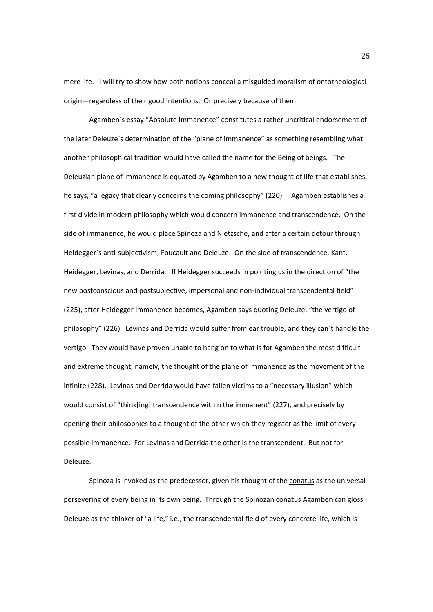mere life. I will try to show how both notions conceal a misguided moralism of ontotheological origin—regardless of their good intentions. Or precisely because of them.

 Agamben´s essay "Absolute Immanence" constitutes a rather uncritical endorsement of the later Deleuze´s determination of the "plane of immanence" as something resembling what another philosophical tradition would have called the name for the Being of beings. The Deleuzian plane of immanence is equated by Agamben to a new thought of life that establishes, he says, "a legacy that clearly concerns the coming philosophy" (220). Agamben establishes a first divide in modern philosophy which would concern immanence and transcendence. On the side of immanence, he would place Spinoza and Nietzsche, and after a certain detour through Heidegger´s anti-subjectivism, Foucault and Deleuze. On the side of transcendence, Kant, Heidegger, Levinas, and Derrida. If Heidegger succeeds in pointing us in the direction of "the new postconscious and postsubjective, impersonal and non-individual transcendental field" (225), after Heidegger immanence becomes, Agamben says quoting Deleuze, "the vertigo of philosophy" (226). Levinas and Derrida would suffer from ear trouble, and they can´t handle the vertigo. They would have proven unable to hang on to what is for Agamben the most difficult and extreme thought, namely, the thought of the plane of immanence as the movement of the infinite (228). Levinas and Derrida would have fallen victims to a "necessary illusion" which would consist of "think[ing] transcendence within the immanent" (227), and precisely by opening their philosophies to a thought of the other which they register as the limit of every possible immanence. For Levinas and Derrida the other is the transcendent. But not for Deleuze.

Spinoza is invoked as the predecessor, given his thought of the conatus as the universal persevering of every being in its own being. Through the Spinozan conatus Agamben can gloss Deleuze as the thinker of "a life," i.e., the transcendental field of every concrete life, which is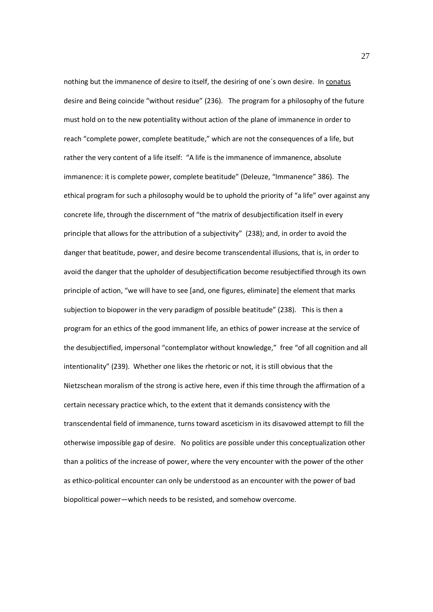nothing but the immanence of desire to itself, the desiring of one's own desire. In conatus desire and Being coincide "without residue" (236). The program for a philosophy of the future must hold on to the new potentiality without action of the plane of immanence in order to reach "complete power, complete beatitude," which are not the consequences of a life, but rather the very content of a life itself: "A life is the immanence of immanence, absolute immanence: it is complete power, complete beatitude" (Deleuze, "Immanence" 386). The ethical program for such a philosophy would be to uphold the priority of "a life" over against any concrete life, through the discernment of "the matrix of desubjectification itself in every principle that allows for the attribution of a subjectivity" (238); and, in order to avoid the danger that beatitude, power, and desire become transcendental illusions, that is, in order to avoid the danger that the upholder of desubjectification become resubjectified through its own principle of action, "we will have to see [and, one figures, eliminate] the element that marks subjection to biopower in the very paradigm of possible beatitude" (238). This is then a program for an ethics of the good immanent life, an ethics of power increase at the service of the desubjectified, impersonal "contemplator without knowledge," free "of all cognition and all intentionality" (239). Whether one likes the rhetoric or not, it is still obvious that the Nietzschean moralism of the strong is active here, even if this time through the affirmation of a certain necessary practice which, to the extent that it demands consistency with the transcendental field of immanence, turns toward asceticism in its disavowed attempt to fill the otherwise impossible gap of desire. No politics are possible under this conceptualization other than a politics of the increase of power, where the very encounter with the power of the other as ethico-political encounter can only be understood as an encounter with the power of bad biopolitical power—which needs to be resisted, and somehow overcome.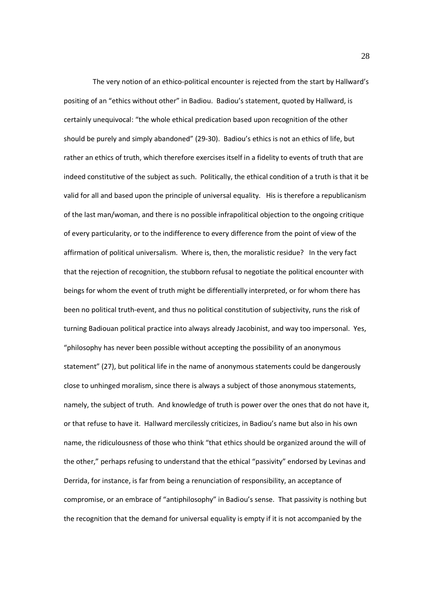The very notion of an ethico-political encounter is rejected from the start by Hallward's positing of an "ethics without other" in Badiou. Badiou's statement, quoted by Hallward, is certainly unequivocal: "the whole ethical predication based upon recognition of the other should be purely and simply abandoned" (29-30). Badiou's ethics is not an ethics of life, but rather an ethics of truth, which therefore exercises itself in a fidelity to events of truth that are indeed constitutive of the subject as such. Politically, the ethical condition of a truth is that it be valid for all and based upon the principle of universal equality. His is therefore a republicanism of the last man/woman, and there is no possible infrapolitical objection to the ongoing critique of every particularity, or to the indifference to every difference from the point of view of the affirmation of political universalism. Where is, then, the moralistic residue? In the very fact that the rejection of recognition, the stubborn refusal to negotiate the political encounter with beings for whom the event of truth might be differentially interpreted, or for whom there has been no political truth-event, and thus no political constitution of subjectivity, runs the risk of turning Badiouan political practice into always already Jacobinist, and way too impersonal. Yes, "philosophy has never been possible without accepting the possibility of an anonymous statement" (27), but political life in the name of anonymous statements could be dangerously close to unhinged moralism, since there is always a subject of those anonymous statements, namely, the subject of truth. And knowledge of truth is power over the ones that do not have it, or that refuse to have it. Hallward mercilessly criticizes, in Badiou's name but also in his own name, the ridiculousness of those who think "that ethics should be organized around the will of the other," perhaps refusing to understand that the ethical "passivity" endorsed by Levinas and Derrida, for instance, is far from being a renunciation of responsibility, an acceptance of compromise, or an embrace of "antiphilosophy" in Badiou's sense. That passivity is nothing but the recognition that the demand for universal equality is empty if it is not accompanied by the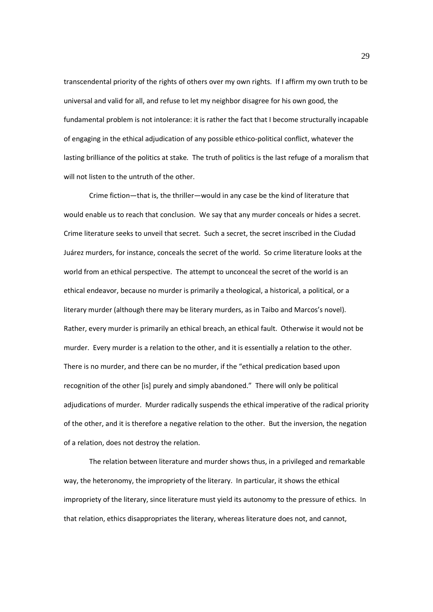transcendental priority of the rights of others over my own rights. If I affirm my own truth to be universal and valid for all, and refuse to let my neighbor disagree for his own good, the fundamental problem is not intolerance: it is rather the fact that I become structurally incapable of engaging in the ethical adjudication of any possible ethico-political conflict, whatever the lasting brilliance of the politics at stake. The truth of politics is the last refuge of a moralism that will not listen to the untruth of the other.

 Crime fiction—that is, the thriller—would in any case be the kind of literature that would enable us to reach that conclusion. We say that any murder conceals or hides a secret. Crime literature seeks to unveil that secret. Such a secret, the secret inscribed in the Ciudad Juárez murders, for instance, conceals the secret of the world. So crime literature looks at the world from an ethical perspective. The attempt to unconceal the secret of the world is an ethical endeavor, because no murder is primarily a theological, a historical, a political, or a literary murder (although there may be literary murders, as in Taibo and Marcos's novel). Rather, every murder is primarily an ethical breach, an ethical fault. Otherwise it would not be murder. Every murder is a relation to the other, and it is essentially a relation to the other. There is no murder, and there can be no murder, if the "ethical predication based upon recognition of the other [is] purely and simply abandoned." There will only be political adjudications of murder. Murder radically suspends the ethical imperative of the radical priority of the other, and it is therefore a negative relation to the other. But the inversion, the negation of a relation, does not destroy the relation.

 The relation between literature and murder shows thus, in a privileged and remarkable way, the heteronomy, the impropriety of the literary. In particular, it shows the ethical impropriety of the literary, since literature must yield its autonomy to the pressure of ethics. In that relation, ethics disappropriates the literary, whereas literature does not, and cannot,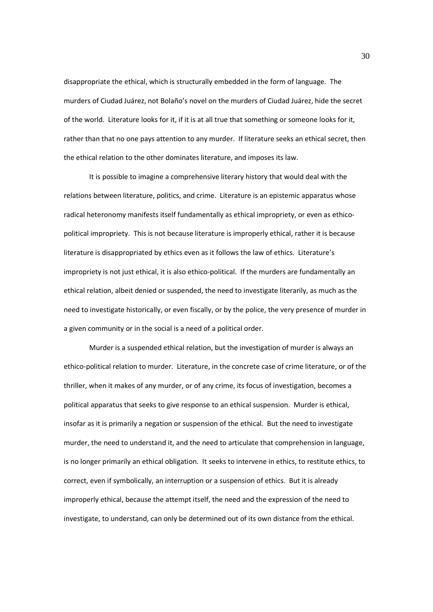disappropriate the ethical, which is structurally embedded in the form of language. The murders of Ciudad Juárez, not Bolaño's novel on the murders of Ciudad Juárez, hide the secret of the world. Literature looks for it, if it is at all true that something or someone looks for it, rather than that no one pays attention to any murder. If literature seeks an ethical secret, then the ethical relation to the other dominates literature, and imposes its law.

 It is possible to imagine a comprehensive literary history that would deal with the relations between literature, politics, and crime. Literature is an epistemic apparatus whose radical heteronomy manifests itself fundamentally as ethical impropriety, or even as ethicopolitical impropriety. This is not because literature is improperly ethical, rather it is because literature is disappropriated by ethics even as it follows the law of ethics. Literature's impropriety is not just ethical, it is also ethico-political. If the murders are fundamentally an ethical relation, albeit denied or suspended, the need to investigate literarily, as much as the need to investigate historically, or even fiscally, or by the police, the very presence of murder in a given community or in the social is a need of a political order.

Murder is a suspended ethical relation, but the investigation of murder is always an ethico-political relation to murder. Literature, in the concrete case of crime literature, or of the thriller, when it makes of any murder, or of any crime, its focus of investigation, becomes a political apparatus that seeks to give response to an ethical suspension. Murder is ethical, insofar as it is primarily a negation or suspension of the ethical. But the need to investigate murder, the need to understand it, and the need to articulate that comprehension in language, is no longer primarily an ethical obligation. It seeks to intervene in ethics, to restitute ethics, to correct, even if symbolically, an interruption or a suspension of ethics. But it is already improperly ethical, because the attempt itself, the need and the expression of the need to investigate, to understand, can only be determined out of its own distance from the ethical.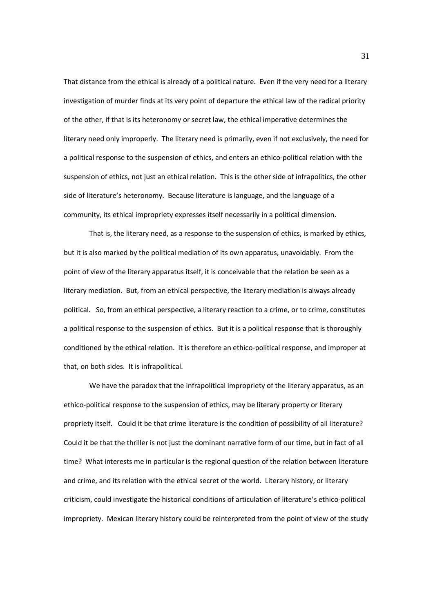That distance from the ethical is already of a political nature. Even if the very need for a literary investigation of murder finds at its very point of departure the ethical law of the radical priority of the other, if that is its heteronomy or secret law, the ethical imperative determines the literary need only improperly. The literary need is primarily, even if not exclusively, the need for a political response to the suspension of ethics, and enters an ethico-political relation with the suspension of ethics, not just an ethical relation. This is the other side of infrapolitics, the other side of literature's heteronomy. Because literature is language, and the language of a community, its ethical impropriety expresses itself necessarily in a political dimension.

 That is, the literary need, as a response to the suspension of ethics, is marked by ethics, but it is also marked by the political mediation of its own apparatus, unavoidably. From the point of view of the literary apparatus itself, it is conceivable that the relation be seen as a literary mediation. But, from an ethical perspective, the literary mediation is always already political. So, from an ethical perspective, a literary reaction to a crime, or to crime, constitutes a political response to the suspension of ethics. But it is a political response that is thoroughly conditioned by the ethical relation. It is therefore an ethico-political response, and improper at that, on both sides. It is infrapolitical.

We have the paradox that the infrapolitical impropriety of the literary apparatus, as an ethico-political response to the suspension of ethics, may be literary property or literary propriety itself. Could it be that crime literature is the condition of possibility of all literature? Could it be that the thriller is not just the dominant narrative form of our time, but in fact of all time? What interests me in particular is the regional question of the relation between literature and crime, and its relation with the ethical secret of the world. Literary history, or literary criticism, could investigate the historical conditions of articulation of literature's ethico-political impropriety. Mexican literary history could be reinterpreted from the point of view of the study

31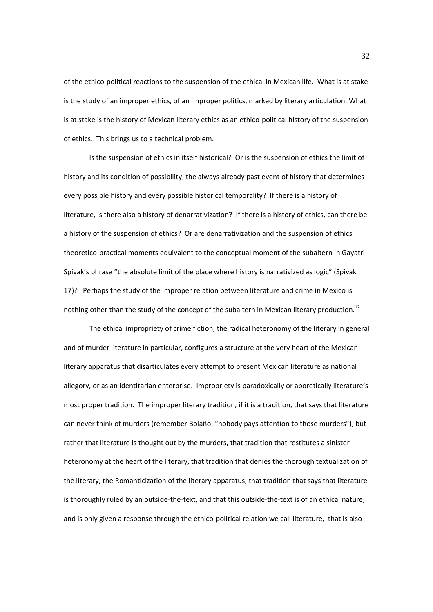of the ethico-political reactions to the suspension of the ethical in Mexican life. What is at stake is the study of an improper ethics, of an improper politics, marked by literary articulation. What is at stake is the history of Mexican literary ethics as an ethico-political history of the suspension of ethics. This brings us to a technical problem.

Is the suspension of ethics in itself historical? Or is the suspension of ethics the limit of history and its condition of possibility, the always already past event of history that determines every possible history and every possible historical temporality? If there is a history of literature, is there also a history of denarrativization? If there is a history of ethics, can there be a history of the suspension of ethics? Or are denarrativization and the suspension of ethics theoretico-practical moments equivalent to the conceptual moment of the subaltern in Gayatri Spivak's phrase "the absolute limit of the place where history is narrativized as logic" (Spivak 17)? Perhaps the study of the improper relation between literature and crime in Mexico is nothing other than the study of the concept of the subaltern in Mexican literary production.<sup>12</sup>

 The ethical impropriety of crime fiction, the radical heteronomy of the literary in general and of murder literature in particular, configures a structure at the very heart of the Mexican literary apparatus that disarticulates every attempt to present Mexican literature as national allegory, or as an identitarian enterprise. Impropriety is paradoxically or aporetically literature's most proper tradition. The improper literary tradition, if it is a tradition, that says that literature can never think of murders (remember Bolaño: "nobody pays attention to those murders"), but rather that literature is thought out by the murders, that tradition that restitutes a sinister heteronomy at the heart of the literary, that tradition that denies the thorough textualization of the literary, the Romanticization of the literary apparatus, that tradition that says that literature is thoroughly ruled by an outside-the-text, and that this outside-the-text is of an ethical nature, and is only given a response through the ethico-political relation we call literature, that is also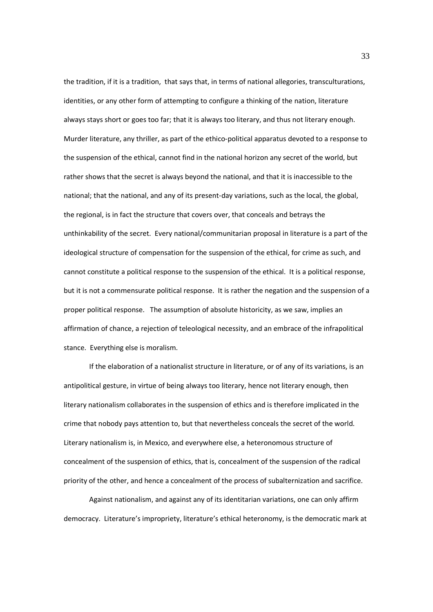the tradition, if it is a tradition, that says that, in terms of national allegories, transculturations, identities, or any other form of attempting to configure a thinking of the nation, literature always stays short or goes too far; that it is always too literary, and thus not literary enough. Murder literature, any thriller, as part of the ethico-political apparatus devoted to a response to the suspension of the ethical, cannot find in the national horizon any secret of the world, but rather shows that the secret is always beyond the national, and that it is inaccessible to the national; that the national, and any of its present-day variations, such as the local, the global, the regional, is in fact the structure that covers over, that conceals and betrays the unthinkability of the secret. Every national/communitarian proposal in literature is a part of the ideological structure of compensation for the suspension of the ethical, for crime as such, and cannot constitute a political response to the suspension of the ethical. It is a political response, but it is not a commensurate political response. It is rather the negation and the suspension of a proper political response. The assumption of absolute historicity, as we saw, implies an affirmation of chance, a rejection of teleological necessity, and an embrace of the infrapolitical stance. Everything else is moralism.

If the elaboration of a nationalist structure in literature, or of any of its variations, is an antipolitical gesture, in virtue of being always too literary, hence not literary enough, then literary nationalism collaborates in the suspension of ethics and is therefore implicated in the crime that nobody pays attention to, but that nevertheless conceals the secret of the world. Literary nationalism is, in Mexico, and everywhere else, a heteronomous structure of concealment of the suspension of ethics, that is, concealment of the suspension of the radical priority of the other, and hence a concealment of the process of subalternization and sacrifice.

 Against nationalism, and against any of its identitarian variations, one can only affirm democracy. Literature's impropriety, literature's ethical heteronomy, is the democratic mark at

33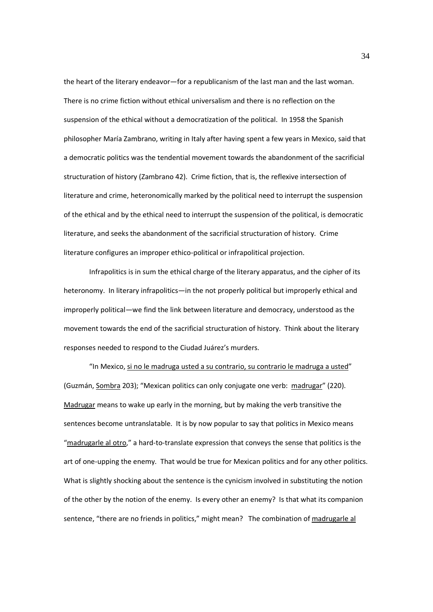the heart of the literary endeavor—for a republicanism of the last man and the last woman. There is no crime fiction without ethical universalism and there is no reflection on the suspension of the ethical without a democratization of the political. In 1958 the Spanish philosopher María Zambrano, writing in Italy after having spent a few years in Mexico, said that a democratic politics was the tendential movement towards the abandonment of the sacrificial structuration of history (Zambrano 42). Crime fiction, that is, the reflexive intersection of literature and crime, heteronomically marked by the political need to interrupt the suspension of the ethical and by the ethical need to interrupt the suspension of the political, is democratic literature, and seeks the abandonment of the sacrificial structuration of history. Crime literature configures an improper ethico-political or infrapolitical projection.

 Infrapolitics is in sum the ethical charge of the literary apparatus, and the cipher of its heteronomy. In literary infrapolitics—in the not properly political but improperly ethical and improperly political—we find the link between literature and democracy, understood as the movement towards the end of the sacrificial structuration of history. Think about the literary responses needed to respond to the Ciudad Juárez's murders.

 "In Mexico, si no le madruga usted a su contrario, su contrario le madruga a usted" (Guzmán, Sombra 203); "Mexican politics can only conjugate one verb: madrugar" (220). Madrugar means to wake up early in the morning, but by making the verb transitive the sentences become untranslatable. It is by now popular to say that politics in Mexico means "madrugarle al otro," a hard-to-translate expression that conveys the sense that politics is the art of one-upping the enemy. That would be true for Mexican politics and for any other politics. What is slightly shocking about the sentence is the cynicism involved in substituting the notion of the other by the notion of the enemy. Is every other an enemy? Is that what its companion sentence, "there are no friends in politics," might mean? The combination of madrugarle al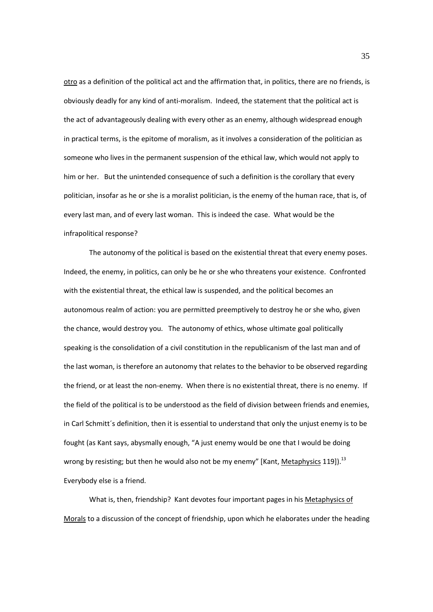otro as a definition of the political act and the affirmation that, in politics, there are no friends, is obviously deadly for any kind of anti-moralism. Indeed, the statement that the political act is the act of advantageously dealing with every other as an enemy, although widespread enough in practical terms, is the epitome of moralism, as it involves a consideration of the politician as someone who lives in the permanent suspension of the ethical law, which would not apply to him or her. But the unintended consequence of such a definition is the corollary that every politician, insofar as he or she is a moralist politician, is the enemy of the human race, that is, of every last man, and of every last woman. This is indeed the case. What would be the infrapolitical response?

 The autonomy of the political is based on the existential threat that every enemy poses. Indeed, the enemy, in politics, can only be he or she who threatens your existence. Confronted with the existential threat, the ethical law is suspended, and the political becomes an autonomous realm of action: you are permitted preemptively to destroy he or she who, given the chance, would destroy you. The autonomy of ethics, whose ultimate goal politically speaking is the consolidation of a civil constitution in the republicanism of the last man and of the last woman, is therefore an autonomy that relates to the behavior to be observed regarding the friend, or at least the non-enemy. When there is no existential threat, there is no enemy. If the field of the political is to be understood as the field of division between friends and enemies, in Carl Schmitt´s definition, then it is essential to understand that only the unjust enemy is to be fought (as Kant says, abysmally enough, "A just enemy would be one that I would be doing wrong by resisting; but then he would also not be my enemy" [Kant, <u>Metaphysics</u> 119]).<sup>13</sup> Everybody else is a friend.

 What is, then, friendship? Kant devotes four important pages in his Metaphysics of Morals to a discussion of the concept of friendship, upon which he elaborates under the heading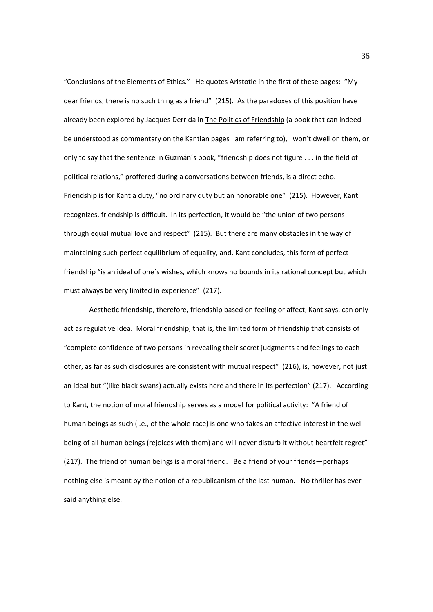"Conclusions of the Elements of Ethics." He quotes Aristotle in the first of these pages: "My dear friends, there is no such thing as a friend" (215). As the paradoxes of this position have already been explored by Jacques Derrida in The Politics of Friendship (a book that can indeed be understood as commentary on the Kantian pages I am referring to), I won't dwell on them, or only to say that the sentence in Guzmán´s book, "friendship does not figure . . . in the field of political relations," proffered during a conversations between friends, is a direct echo. Friendship is for Kant a duty, "no ordinary duty but an honorable one" (215). However, Kant recognizes, friendship is difficult. In its perfection, it would be "the union of two persons through equal mutual love and respect" (215). But there are many obstacles in the way of maintaining such perfect equilibrium of equality, and, Kant concludes, this form of perfect friendship "is an ideal of one´s wishes, which knows no bounds in its rational concept but which must always be very limited in experience" (217).

 Aesthetic friendship, therefore, friendship based on feeling or affect, Kant says, can only act as regulative idea. Moral friendship, that is, the limited form of friendship that consists of "complete confidence of two persons in revealing their secret judgments and feelings to each other, as far as such disclosures are consistent with mutual respect" (216), is, however, not just an ideal but "(like black swans) actually exists here and there in its perfection" (217). According to Kant, the notion of moral friendship serves as a model for political activity: "A friend of human beings as such (i.e., of the whole race) is one who takes an affective interest in the wellbeing of all human beings (rejoices with them) and will never disturb it without heartfelt regret" (217). The friend of human beings is a moral friend. Be a friend of your friends—perhaps nothing else is meant by the notion of a republicanism of the last human. No thriller has ever said anything else.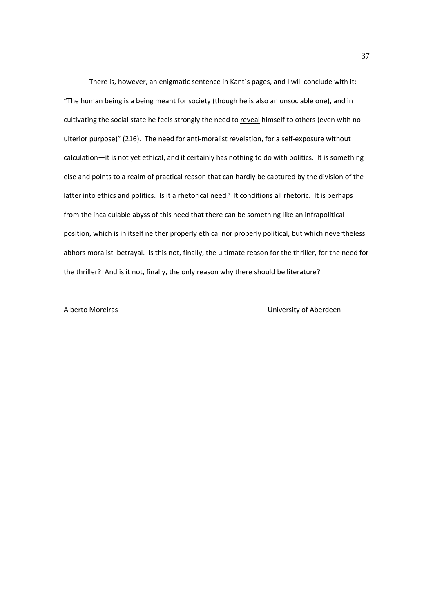There is, however, an enigmatic sentence in Kant´s pages, and I will conclude with it: "The human being is a being meant for society (though he is also an unsociable one), and in cultivating the social state he feels strongly the need to reveal himself to others (even with no ulterior purpose)" (216). The need for anti-moralist revelation, for a self-exposure without calculation—it is not yet ethical, and it certainly has nothing to do with politics. It is something else and points to a realm of practical reason that can hardly be captured by the division of the latter into ethics and politics. Is it a rhetorical need? It conditions all rhetoric. It is perhaps from the incalculable abyss of this need that there can be something like an infrapolitical position, which is in itself neither properly ethical nor properly political, but which nevertheless abhors moralist betrayal. Is this not, finally, the ultimate reason for the thriller, for the need for the thriller? And is it not, finally, the only reason why there should be literature?

Alberto Moreiras University of Aberdeen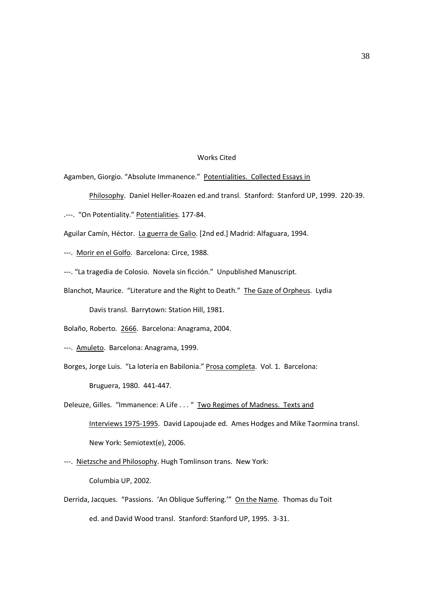# Works Cited

Agamben, Giorgio. "Absolute Immanence." Potentialities. Collected Essays in

Philosophy. Daniel Heller-Roazen ed.and transl. Stanford: Stanford UP, 1999. 220-39.

.---. "On Potentiality." Potentialities. 177-84.

Aguilar Camín, Héctor. La guerra de Galio. [2nd ed.] Madrid: Alfaguara, 1994.

---. Morir en el Golfo. Barcelona: Circe, 1988.

- ---. "La tragedia de Colosio. Novela sin ficción." Unpublished Manuscript.
- Blanchot, Maurice. "Literature and the Right to Death." The Gaze of Orpheus. Lydia

Davis transl. Barrytown: Station Hill, 1981.

Bolaño, Roberto. 2666. Barcelona: Anagrama, 2004.

---. Amuleto. Barcelona: Anagrama, 1999.

Borges, Jorge Luis. "La lotería en Babilonia." Prosa completa. Vol. 1. Barcelona:

Bruguera, 1980. 441-447.

Deleuze, Gilles. "Immanence: A Life . . . " Two Regimes of Madness. Texts and

Interviews 1975-1995. David Lapoujade ed. Ames Hodges and Mike Taormina transl. New York: Semiotext(e), 2006.

---. Nietzsche and Philosophy. Hugh Tomlinson trans. New York:

Columbia UP, 2002.

Derrida, Jacques. "Passions. 'An Oblique Suffering.'" On the Name. Thomas du Toit ed. and David Wood transl. Stanford: Stanford UP, 1995. 3-31.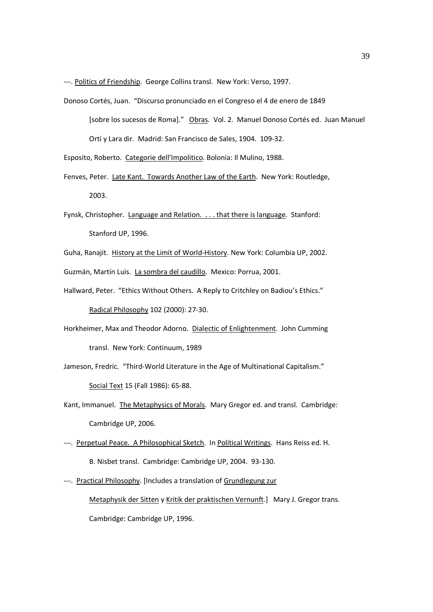---. Politics of Friendship. George Collins transl. New York: Verso, 1997.

- Donoso Cortés, Juan. "Discurso pronunciado en el Congreso el 4 de enero de 1849
	- [sobre los sucesos de Roma]." Obras. Vol. 2. Manuel Donoso Cortés ed. Juan Manuel Ortí y Lara dir. Madrid: San Francisco de Sales, 1904. 109-32.
- Esposito, Roberto. Categorie dell'Impolitico. Bolonia: Il Mulino, 1988.
- Fenves, Peter. Late Kant. Towards Another Law of the Earth. New York: Routledge, 2003.
- Fynsk, Christopher. Language and Relation. . . . that there is language. Stanford: Stanford UP, 1996.
- Guha, Ranajit. History at the Limit of World-History. New York: Columbia UP, 2002.
- Guzmán, Martín Luis. La sombra del caudillo. Mexico: Porrua, 2001.
- Hallward, Peter. "Ethics Without Others. A Reply to Critchley on Badiou's Ethics."

Radical Philosophy 102 (2000): 27-30.

Horkheimer, Max and Theodor Adorno. Dialectic of Enlightenment. John Cumming

transl. New York: Continuum, 1989

Jameson, Fredric. "Third-World Literature in the Age of Multinational Capitalism."

Social Text 15 (Fall 1986): 65-88.

- Kant, Immanuel. The Metaphysics of Morals. Mary Gregor ed. and transl. Cambridge: Cambridge UP, 2006.
- ---. Perpetual Peace. A Philosophical Sketch. In Political Writings. Hans Reiss ed. H. B. Nisbet transl. Cambridge: Cambridge UP, 2004. 93-130.
- ---. Practical Philosophy. [Includes a translation of Grundlegung zur

Metaphysik der Sitten y Kritik der praktischen Vernunft.] Mary J. Gregor trans. Cambridge: Cambridge UP, 1996.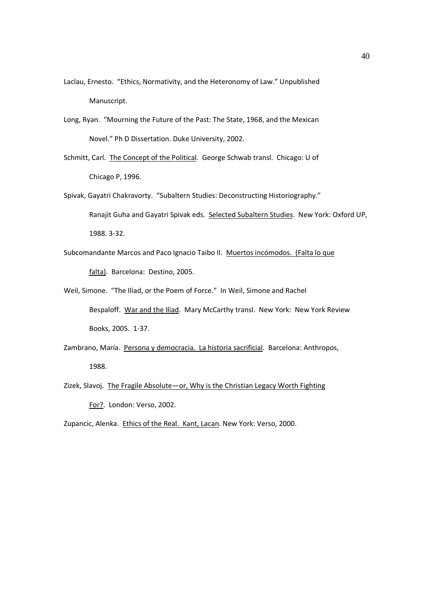- Laclau, Ernesto. "Ethics, Normativity, and the Heteronomy of Law." Unpublished Manuscript.
- Long, Ryan. "Mourning the Future of the Past: The State, 1968, and the Mexican Novel." Ph D Dissertation. Duke University, 2002.
- Schmitt, Carl. The Concept of the Political. George Schwab transl. Chicago: U of Chicago P, 1996.
- Spivak, Gayatri Chakravorty. "Subaltern Studies: Deconstructing Historiography." Ranajit Guha and Gayatri Spivak eds. Selected Subaltern Studies. New York: Oxford UP, 1988. 3-32.
- Subcomandante Marcos and Paco Ignacio Taibo II. Muertos incómodos. (Falta lo que falta). Barcelona: Destino, 2005.
- Weil, Simone. "The Iliad, or the Poem of Force." In Weil, Simone and Rachel
	- Bespaloff. War and the Iliad. Mary McCarthy transl. New York: New York Review Books, 2005. 1-37.
- Zambrano, María. Persona y democracia. La historia sacrificial. Barcelona: Anthropos, 1988.
- Zizek, Slavoj. The Fragile Absolute—or, Why is the Christian Legacy Worth Fighting For?. London: Verso, 2002.
- Zupancic, Alenka. Ethics of the Real. Kant, Lacan. New York: Verso, 2000.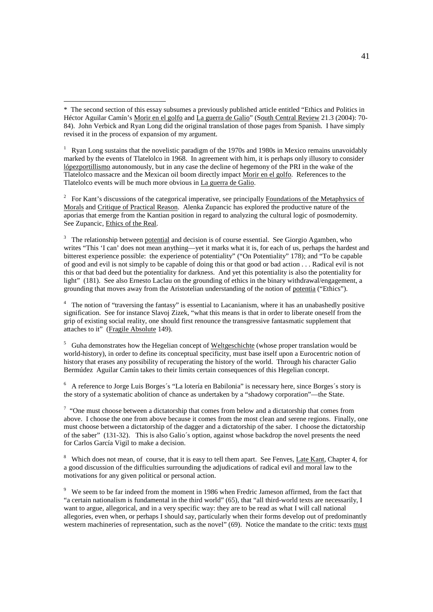-

<sup>1</sup> Ryan Long sustains that the novelistic paradigm of the 1970s and 1980s in Mexico remains unavoidably marked by the events of Tlatelolco in 1968. In agreement with him, it is perhaps only illusory to consider lópezportillismo autonomously, but in any case the decline of hegemony of the PRI in the wake of the Tlatelolco massacre and the Mexican oil boom directly impact Morir en el golfo. References to the Tlatelolco events will be much more obvious in La guerra de Galio.

<sup>2</sup> For Kant's discussions of the categorical imperative, see principally Foundations of the Metaphysics of Morals and Critique of Practical Reason. Alenka Zupancic has explored the productive nature of the aporias that emerge from the Kantian position in regard to analyzing the cultural logic of posmodernity. See Zupancic, Ethics of the Real.

<sup>3</sup> The relationship between potential and decision is of course essential. See Giorgio Agamben, who writes "This 'I can' does not mean anything—yet it marks what it is, for each of us, perhaps the hardest and bitterest experience possible: the experience of potentiality" ("On Potentiality" 178); and "To be capable of good and evil is not simply to be capable of doing this or that good or bad action . . . Radical evil is not this or that bad deed but the potentiality for darkness. And yet this potentiality is also the potentiality for light" (181). See also Ernesto Laclau on the grounding of ethics in the binary withdrawal/engagement, a grounding that moves away from the Aristotelian understanding of the notion of potentia ("Ethics").

<sup>4</sup> The notion of "traversing the fantasy" is essential to Lacanianism, where it has an unabashedly positive signification. See for instance Slavoj Zizek, "what this means is that in order to liberate oneself from the grip of existing social reality, one should first renounce the transgressive fantasmatic supplement that attaches to it" (Fragile Absolute 149).

 $5$  Guha demonstrates how the Hegelian concept of Weltgeschichte (whose proper translation would be world-history), in order to define its conceptual specificity, must base itself upon a Eurocentric notion of history that erases any possibility of recuperating the history of the world. Through his character Galio Bermúdez Aguilar Camín takes to their limits certain consequences of this Hegelian concept.

<sup>6</sup> A reference to Jorge Luis Borges's "La lotería en Babilonia" is necessary here, since Borges's story is the story of a systematic abolition of chance as undertaken by a "shadowy corporation"—the State.

 $7\degree$  "One must choose between a dictatorship that comes from below and a dictatorship that comes from above. I choose the one from above because it comes from the most clean and serene regions. Finally, one must choose between a dictatorship of the dagger and a dictatorship of the saber. I choose the dictatorship of the saber" (131-32). This is also Galio´s option, against whose backdrop the novel presents the need for Carlos García Vigil to make a decision.

<sup>8</sup> Which does not mean, of course, that it is easy to tell them apart. See Fenves, Late Kant, Chapter 4, for a good discussion of the difficulties surrounding the adjudications of radical evil and moral law to the motivations for any given political or personal action.

<sup>9</sup> We seem to be far indeed from the moment in 1986 when Fredric Jameson affirmed, from the fact that "a certain nationalism is fundamental in the third world" (65), that "all third-world texts are necessarily, I want to argue, allegorical, and in a very specific way: they are to be read as what I will call national allegories, even when, or perhaps I should say, particularly when their forms develop out of predominantly western machineries of representation, such as the novel" (69). Notice the mandate to the critic: texts must

<sup>\*</sup> The second section of this essay subsumes a previously published article entitled "Ethics and Politics in Héctor Aguilar Camín's Morir en el golfo and La guerra de Galio" (South Central Review 21.3 (2004): 70- 84). John Verbick and Ryan Long did the original translation of those pages from Spanish. I have simply revised it in the process of expansion of my argument.